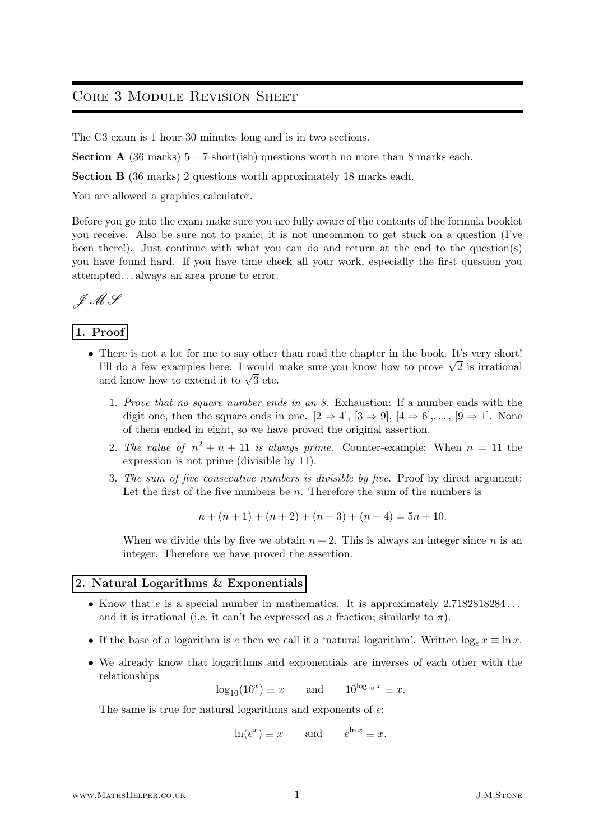# Core 3 Module Revision Sheet

The C3 exam is 1 hour 30 minutes long and is in two sections.

**Section A** (36 marks)  $5 - 7$  short(ish) questions worth no more than 8 marks each.

Section B (36 marks) 2 questions worth approximately 18 marks each.

You are allowed a graphics calculator.

Before you go into the exam make sure you are fully aware of the contents of the formula booklet you receive. Also be sure not to panic; it is not uncommon to get stuck on a question (I've been there!). Just continue with what you can do and return at the end to the question(s) you have found hard. If you have time check all your work, especially the first question you attempted. . . always an area prone to error.

$$
\mathscr{JMS}
$$

# 1. Proof

- There is not a lot for me to say other than read the chapter in the book. It's very short! I'll do a few examples here. I would make sure you know how to prove  $\sqrt{2}$  is irrational and know how to extend it to  $\sqrt{3}$  etc.
	- 1. Prove that no square number ends in an 8. Exhaustion: If a number ends with the digit one, then the square ends in one.  $[2 \Rightarrow 4]$ ,  $[3 \Rightarrow 9]$ ,  $[4 \Rightarrow 6]$ ,...,  $[9 \Rightarrow 1]$ . None of them ended in eight, so we have proved the original assertion.
	- 2. The value of  $n^2 + n + 11$  is always prime. Counter-example: When  $n = 11$  the expression is not prime (divisible by 11).
	- 3. The sum of five consecutive numbers is divisible by five. Proof by direct argument: Let the first of the five numbers be  $n$ . Therefore the sum of the numbers is

$$
n + (n + 1) + (n + 2) + (n + 3) + (n + 4) = 5n + 10.
$$

When we divide this by five we obtain  $n + 2$ . This is always an integer since n is an integer. Therefore we have proved the assertion.

# 2. Natural Logarithms & Exponentials

- Know that  $e$  is a special number in mathematics. It is approximately  $2.7182818284...$ and it is irrational (i.e. it can't be expressed as a fraction; similarly to  $\pi$ ).
- If the base of a logarithm is e then we call it a 'natural logarithm'. Written  $\log_e x \equiv \ln x$ .
- We already know that logarithms and exponentials are inverses of each other with the relationships

$$
\log_{10}(10^x) \equiv x \quad \text{and} \quad 10^{\log_{10} x} \equiv x.
$$

The same is true for natural logarithms and exponents of  $e$ ;

$$
\ln(e^x) \equiv x
$$
 and  $e^{\ln x} \equiv x$ .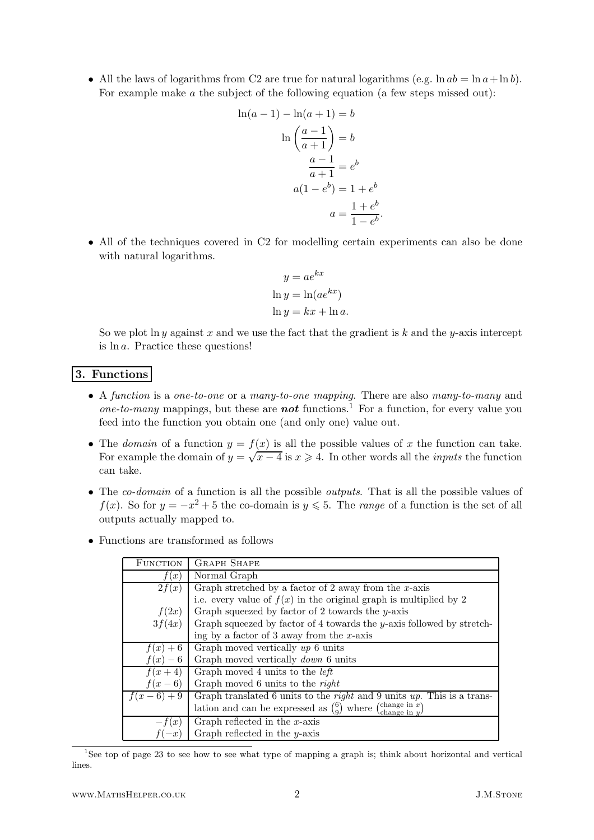• All the laws of logarithms from C2 are true for natural logarithms (e.g.  $\ln ab = \ln a + \ln b$ ). For example make a the subject of the following equation (a few steps missed out):

$$
\ln(a-1) - \ln(a+1) = b
$$

$$
\ln\left(\frac{a-1}{a+1}\right) = b
$$

$$
\frac{a-1}{a+1} = e^b
$$

$$
a(1-e^b) = 1 + e^b
$$

$$
a = \frac{1+e^b}{1-e^b}
$$

• All of the techniques covered in C2 for modelling certain experiments can also be done with natural logarithms.

 $\overline{b}$ .

$$
y = ae^{kx}
$$
  
ln y = ln(ae<sup>kx</sup>)  
ln y = kx + ln a.

So we plot ln y against x and we use the fact that the gradient is  $k$  and the y-axis intercept is ln a. Practice these questions!

## 3. Functions

- A function is a one-to-one or a many-to-one mapping. There are also many-to-many and one-to-many mappings, but these are **not** functions.<sup>1</sup> For a function, for every value you feed into the function you obtain one (and only one) value out.
- The *domain* of a function  $y = f(x)$  is all the possible values of x the function can take. For example the domain of  $y = \sqrt{x-4}$  is  $x \ge 4$ . In other words all the *inputs* the function can take.
- The *co-domain* of a function is all the possible *outputs*. That is all the possible values of  $f(x)$ . So for  $y = -x^2 + 5$  the co-domain is  $y \le 5$ . The *range* of a function is the set of all outputs actually mapped to.
- Functions are transformed as follows

| <b>FUNCTION</b> | <b>GRAPH SHAPE</b>                                                                       |  |
|-----------------|------------------------------------------------------------------------------------------|--|
| f(x)            | Normal Graph                                                                             |  |
| 2f(x)           | Graph stretched by a factor of 2 away from the $x$ -axis                                 |  |
|                 | i.e. every value of $f(x)$ in the original graph is multiplied by 2                      |  |
| f(2x)           | Graph squeezed by factor of 2 towards the $y$ -axis                                      |  |
| 3f(4x)          | Graph squeezed by factor of 4 towards the $y$ -axis followed by stretch-                 |  |
|                 | ing by a factor of 3 away from the $x$ -axis                                             |  |
| $f(x)+6$        | Graph moved vertically $up\ 6$ units                                                     |  |
| $f(x)-6$        | Graph moved vertically <i>down</i> 6 units                                               |  |
| $f(x+4)$        | Graph moved 4 units to the <i>left</i>                                                   |  |
| $f(x-6)$        | Graph moved 6 units to the right                                                         |  |
| $f(x-6)+9$      | Graph translated 6 units to the <i>right</i> and 9 units $up$ . This is a trans-         |  |
|                 | (change in $x$ )<br>lation and can be expressed as $\binom{6}{0}$ where<br>change in $y$ |  |
| $-t(x)$         | Graph reflected in the $x$ -axis                                                         |  |
|                 | Graph reflected in the $y$ -axis                                                         |  |

<sup>1</sup>See top of page 23 to see how to see what type of mapping a graph is; think about horizontal and vertical lines.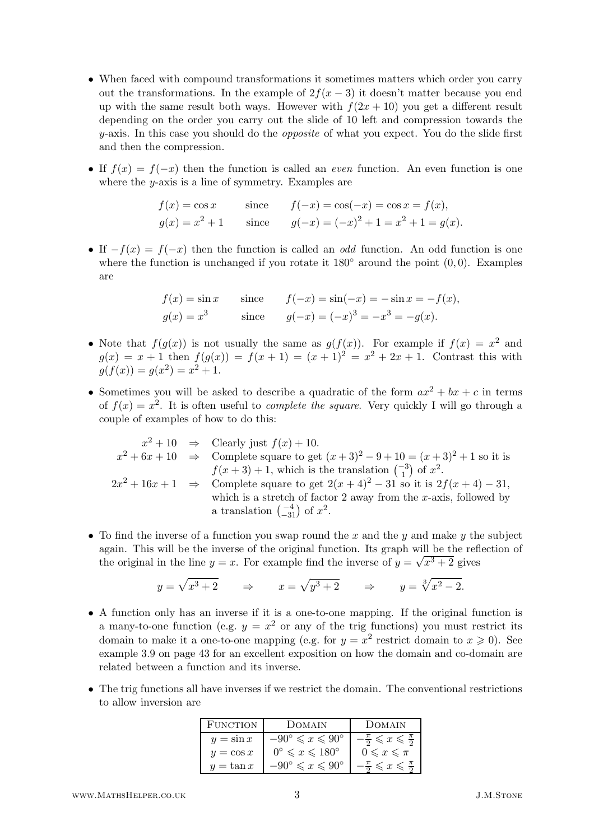- When faced with compound transformations it sometimes matters which order you carry out the transformations. In the example of  $2f(x-3)$  it doesn't matter because you end up with the same result both ways. However with  $f(2x + 10)$  you get a different result depending on the order you carry out the slide of 10 left and compression towards the  $y$ -axis. In this case you should do the *opposite* of what you expect. You do the slide first and then the compression.
- If  $f(x) = f(-x)$  then the function is called an *even* function. An even function is one where the  $y$ -axis is a line of symmetry. Examples are

$$
f(x) = \cos x
$$
 since  $f(-x) = \cos(-x) = \cos x = f(x)$ ,  
\n $g(x) = x^2 + 1$  since  $g(-x) = (-x)^2 + 1 = x^2 + 1 = g(x)$ .

• If  $-f(x) = f(-x)$  then the function is called an *odd* function. An odd function is one where the function is unchanged if you rotate it  $180°$  around the point  $(0,0)$ . Examples are

$$
f(x) = \sin x
$$
 since  $f(-x) = \sin(-x) = -\sin x = -f(x)$ ,  
\n $g(x) = x^3$  since  $g(-x) = (-x)^3 = -x^3 = -g(x)$ .

- Note that  $f(g(x))$  is not usually the same as  $g(f(x))$ . For example if  $f(x) = x^2$  and  $g(x) = x + 1$  then  $f(g(x)) = f(x + 1) = (x + 1)^2 = x^2 + 2x + 1$ . Contrast this with  $g(f(x)) = g(x^2) = x^2 + 1.$
- Sometimes you will be asked to describe a quadratic of the form  $ax^2 + bx + c$  in terms of  $f(x) = x^2$ . It is often useful to *complete the square*. Very quickly I will go through a couple of examples of how to do this:

$$
x^2 + 10 \Rightarrow \text{Clearly just } f(x) + 10.
$$
  
\n
$$
x^2 + 6x + 10 \Rightarrow \text{Complete square to get } (x+3)^2 - 9 + 10 = (x+3)^2 + 1 \text{ so it is}
$$
  
\n
$$
f(x+3) + 1, \text{ which is the translation } \begin{pmatrix} -3 \\ 1 \end{pmatrix} \text{ of } x^2.
$$
  
\n
$$
2x^2 + 16x + 1 \Rightarrow \text{Complete square to get } 2(x+4)^2 - 31 \text{ so it is } 2f(x+4) - 31,
$$
  
\nwhich is a stretch of factor 2 away from the *x*-axis, followed by  
\na translation  $\begin{pmatrix} -4 \\ -31 \end{pmatrix}$  of  $x^2$ .

• To find the inverse of a function you swap round the x and the y and make y the subject again. This will be the inverse of the original function. Its graph will be the reflection of the original in the line  $y = x$ . For example find the inverse of  $y = \sqrt{x^3 + 2}$  gives

$$
y = \sqrt{x^3 + 2}
$$
  $\Rightarrow$   $x = \sqrt{y^3 + 2}$   $\Rightarrow$   $y = \sqrt[3]{x^2 - 2}$ .

- A function only has an inverse if it is a one-to-one mapping. If the original function is a many-to-one function (e.g.  $y = x^2$  or any of the trig functions) you must restrict its domain to make it a one-to-one mapping (e.g. for  $y = x^2$  restrict domain to  $x \ge 0$ ). See example 3.9 on page 43 for an excellent exposition on how the domain and co-domain are related between a function and its inverse.
- The trig functions all have inverses if we restrict the domain. The conventional restrictions to allow inversion are

| FUNCTION     | 100MATN                                        | DOMAIN                                               |
|--------------|------------------------------------------------|------------------------------------------------------|
| $y = \sin x$ | $-90^{\circ} \leqslant x \leqslant 90^{\circ}$ | $-\frac{\pi}{2} \leqslant x \leqslant \frac{\pi}{2}$ |
| $y = \cos x$ | $0^{\circ} \leqslant x \leqslant 180^{\circ}$  | $0 \leqslant x \leqslant \pi$                        |
| $y = \tan x$ | $-90^{\circ} \leqslant x \leqslant 90^{\circ}$ | $\frac{\pi}{6} \leqslant x \leqslant 7$              |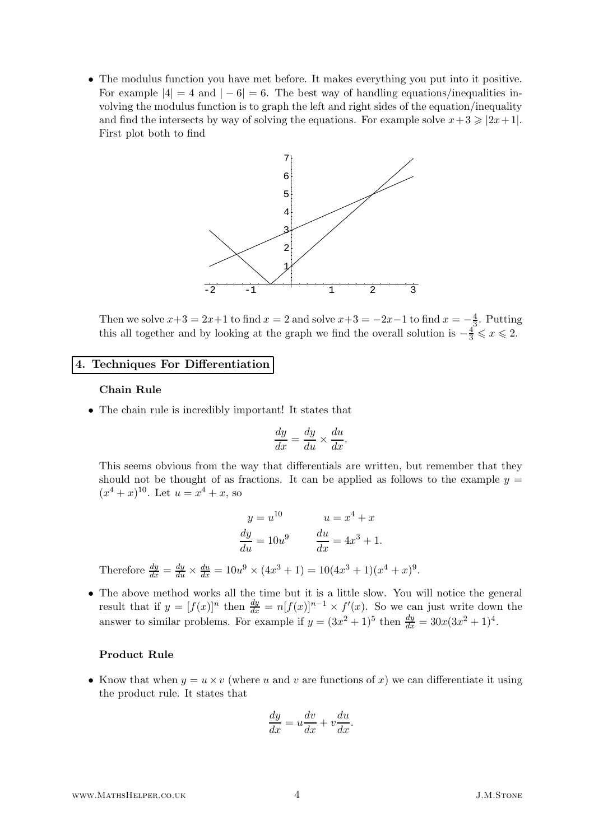• The modulus function you have met before. It makes everything you put into it positive. For example  $|4| = 4$  and  $|-6| = 6$ . The best way of handling equations/inequalities involving the modulus function is to graph the left and right sides of the equation/inequality and find the intersects by way of solving the equations. For example solve  $x+3 \geq 2x+1$ . First plot both to find



Then we solve  $x+3 = 2x+1$  to find  $x = 2$  and solve  $x+3 = -2x-1$  to find  $x = -\frac{4}{3}$  $\frac{4}{3}$ . Putting this all together and by looking at the graph we find the overall solution is  $-\frac{4}{3} \leq x \leq 2$ .

## 4. Techniques For Differentiation

## Chain Rule

• The chain rule is incredibly important! It states that

$$
\frac{dy}{dx} = \frac{dy}{du} \times \frac{du}{dx}.
$$

This seems obvious from the way that differentials are written, but remember that they should not be thought of as fractions. It can be applied as follows to the example  $y =$  $(x^4+x)^{10}$ . Let  $u=x^4+x$ , so

$$
y = u^{10}
$$

$$
u = x4 + x
$$

$$
\frac{dy}{du} = 10u9
$$

$$
\frac{du}{dx} = 4x3 + 1.
$$
Therefore 
$$
\frac{dy}{dx} = \frac{dy}{du} \times \frac{du}{dx} = 10u9 \times (4x3 + 1) = 10(4x3 + 1)(x4 + x)9
$$

• The above method works all the time but it is a little slow. You will notice the general result that if  $y = [f(x)]^n$  then  $\frac{dy}{dx} = n[f(x)]^{n-1} \times f'(x)$ . So we can just write down the answer to similar problems. For example if  $y = (3x^2 + 1)^5$  then  $\frac{dy}{dx} = 30x(3x^2 + 1)^4$ .

.

#### Product Rule

• Know that when  $y = u \times v$  (where u and v are functions of x) we can differentiate it using the product rule. It states that

$$
\frac{dy}{dx} = u\frac{dv}{dx} + v\frac{du}{dx}.
$$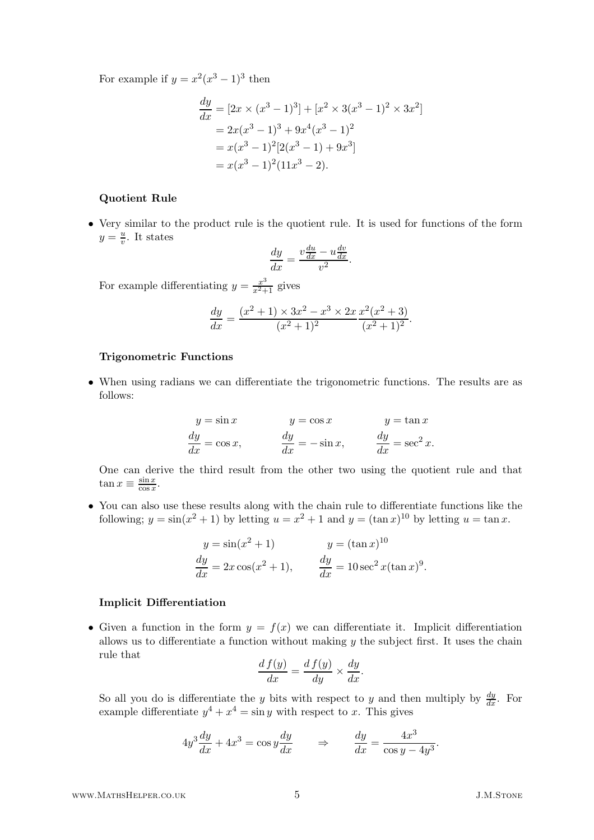For example if  $y = x^2(x^3 - 1)^3$  then

$$
\frac{dy}{dx} = [2x \times (x^3 - 1)^3] + [x^2 \times 3(x^3 - 1)^2 \times 3x^2]
$$
  
=  $2x(x^3 - 1)^3 + 9x^4(x^3 - 1)^2$   
=  $x(x^3 - 1)^2[2(x^3 - 1) + 9x^3]$   
=  $x(x^3 - 1)^2(11x^3 - 2)$ .

#### Quotient Rule

• Very similar to the product rule is the quotient rule. It is used for functions of the form  $y = \frac{u}{v}$ . It states

$$
\frac{dy}{dx} = \frac{v\frac{du}{dx} - u\frac{dv}{dx}}{v^2}.
$$

For example differentiating  $y = \frac{x^3}{x^2 + 1}$  $\frac{x^3}{x^2+1}$  gives

$$
\frac{dy}{dx} = \frac{(x^2+1) \times 3x^2 - x^3 \times 2x}{(x^2+1)^2} \frac{x^2(x^2+3)}{(x^2+1)^2}.
$$

### Trigonometric Functions

• When using radians we can differentiate the trigonometric functions. The results are as follows:

$$
y = \sin x \qquad \qquad y = \cos x \qquad \qquad y = \tan x
$$
  

$$
\frac{dy}{dx} = \cos x, \qquad \qquad \frac{dy}{dx} = -\sin x, \qquad \qquad \frac{dy}{dx} = \sec^2 x.
$$

One can derive the third result from the other two using the quotient rule and that  $\tan x \equiv \frac{\sin x}{\cos x}$  $\frac{\sin x}{\cos x}$ .

• You can also use these results along with the chain rule to differentiate functions like the following;  $y = \sin(x^2 + 1)$  by letting  $u = x^2 + 1$  and  $y = (\tan x)^{10}$  by letting  $u = \tan x$ .

$$
y = \sin(x^2 + 1)
$$
  $y = (\tan x)^{10}$   
\n $\frac{dy}{dx} = 2x \cos(x^2 + 1)$ ,  $\frac{dy}{dx} = 10 \sec^2 x (\tan x)^9$ .

#### Implicit Differentiation

• Given a function in the form  $y = f(x)$  we can differentiate it. Implicit differentiation allows us to differentiate a function without making  $y$  the subject first. It uses the chain rule that

$$
\frac{d f(y)}{dx} = \frac{d f(y)}{dy} \times \frac{dy}{dx}.
$$

So all you do is differentiate the y bits with respect to y and then multiply by  $\frac{dy}{dx}$ . For example differentiate  $y^4 + x^4 = \sin y$  with respect to x. This gives

$$
4y^3\frac{dy}{dx} + 4x^3 = \cos y\frac{dy}{dx} \qquad \Rightarrow \qquad \frac{dy}{dx} = \frac{4x^3}{\cos y - 4y^3}.
$$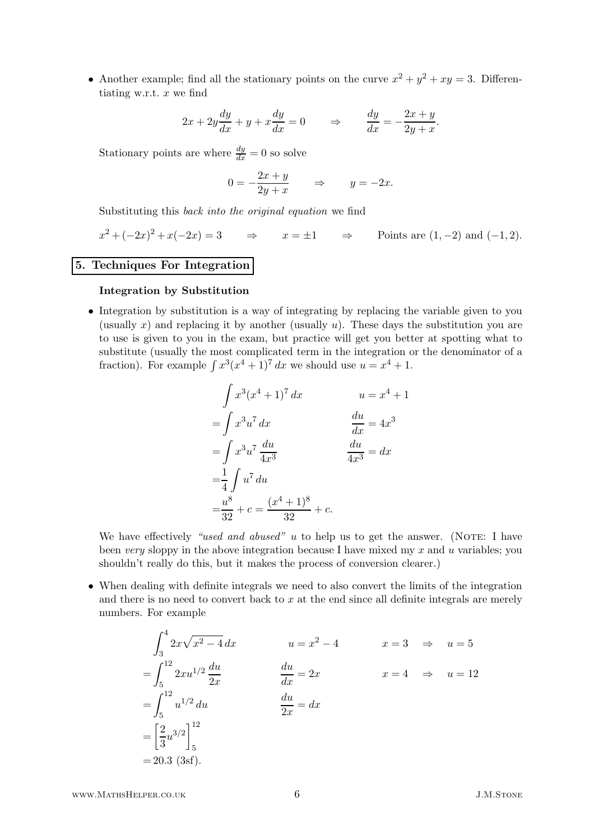• Another example; find all the stationary points on the curve  $x^2 + y^2 + xy = 3$ . Differentiating w.r.t.  $x$  we find

$$
2x + 2y\frac{dy}{dx} + y + x\frac{dy}{dx} = 0 \qquad \Rightarrow \qquad \frac{dy}{dx} = -\frac{2x + y}{2y + x}.
$$

Stationary points are where  $\frac{dy}{dx} = 0$  so solve

$$
0 = -\frac{2x + y}{2y + x} \qquad \Rightarrow \qquad y = -2x.
$$

Substituting this back into the original equation we find

$$
x^{2} + (-2x)^{2} + x(-2x) = 3 \qquad \Rightarrow \qquad x = \pm 1 \qquad \Rightarrow \qquad \text{Points are } (1, -2) \text{ and } (-1, 2).
$$

# 5. Techniques For Integration

## Integration by Substitution

• Integration by substitution is a way of integrating by replacing the variable given to you (usually x) and replacing it by another (usually  $u$ ). These days the substitution you are to use is given to you in the exam, but practice will get you better at spotting what to substitute (usually the most complicated term in the integration or the denominator of a fraction). For example  $\int x^3(x^4+1)^7 dx$  we should use  $u = x^4 + 1$ .

$$
\int x^3 (x^4 + 1)^7 dx \qquad u = x^4 + 1
$$
  
= 
$$
\int x^3 u^7 dx \qquad \frac{du}{dx} = 4x^3
$$
  
= 
$$
\int x^3 u^7 \frac{du}{4x^3} \qquad \frac{du}{4x^3} = dx
$$
  
= 
$$
\frac{1}{4} \int u^7 du
$$
  
= 
$$
\frac{u^8}{32} + c = \frac{(x^4 + 1)^8}{32} + c.
$$

We have effectively "used and abused" u to help us to get the answer. (NOTE: I have been very sloppy in the above integration because I have mixed my  $x$  and  $u$  variables; you shouldn't really do this, but it makes the process of conversion clearer.)

• When dealing with definite integrals we need to also convert the limits of the integration and there is no need to convert back to  $x$  at the end since all definite integrals are merely numbers. For example

$$
\int_{3}^{4} 2x\sqrt{x^{2} - 4} dx \qquad u = x^{2} - 4 \qquad x = 3 \Rightarrow u = 5
$$
  
= 
$$
\int_{5}^{12} 2x u^{1/2} \frac{du}{2x} \qquad \frac{du}{dx} = 2x \qquad x = 4 \Rightarrow u = 12
$$
  
= 
$$
\int_{5}^{12} u^{1/2} du \qquad \frac{du}{2x} = dx
$$
  
= 
$$
\left[\frac{2}{3}u^{3/2}\right]_{5}^{12}
$$
  
= 20.3 (3sf).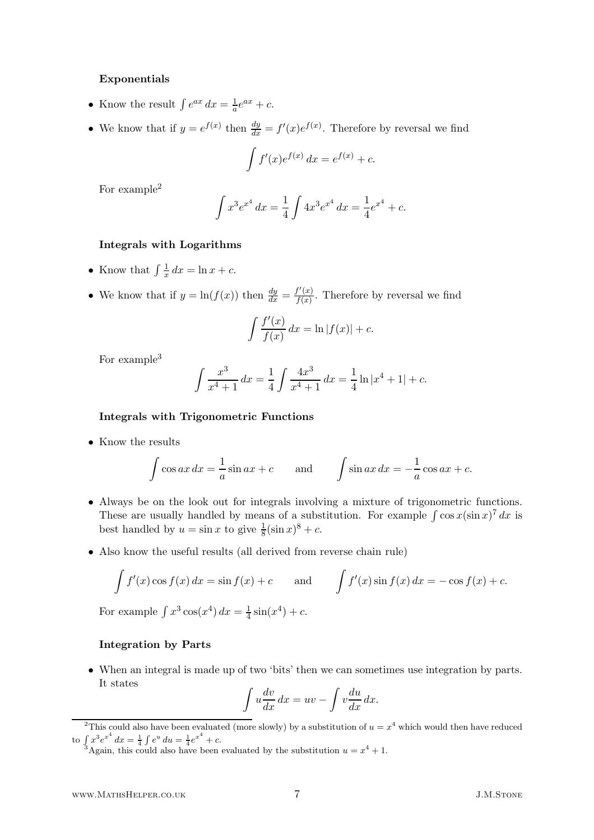## Exponentials

- Know the result  $\int e^{ax} dx = \frac{1}{a}e^{ax} + c$ .
- We know that if  $y = e^{f(x)}$  then  $\frac{dy}{dx} = f'(x)e^{f(x)}$ . Therefore by reversal we find

$$
\int f'(x)e^{f(x)} dx = e^{f(x)} + c.
$$

For example<sup>2</sup>

$$
\int x^3 e^{x^4} dx = \frac{1}{4} \int 4x^3 e^{x^4} dx = \frac{1}{4} e^{x^4} + c.
$$

## Integrals with Logarithms

- Know that  $\int \frac{1}{x}$  $rac{1}{x} dx = \ln x + c.$
- We know that if  $y = \ln(f(x))$  then  $\frac{dy}{dx} = \frac{f'(x)}{f(x)}$  $\frac{f(x)}{f(x)}$ . Therefore by reversal we find

$$
\int \frac{f'(x)}{f(x)} dx = \ln |f(x)| + c.
$$

For example<sup>3</sup>

$$
\int \frac{x^3}{x^4 + 1} dx = \frac{1}{4} \int \frac{4x^3}{x^4 + 1} dx = \frac{1}{4} \ln|x^4 + 1| + c.
$$

#### Integrals with Trigonometric Functions

• Know the results

$$
\int \cos ax \, dx = \frac{1}{a} \sin ax + c \quad \text{and} \quad \int \sin ax \, dx = -\frac{1}{a} \cos ax + c.
$$

- Always be on the look out for integrals involving a mixture of trigonometric functions. These are usually handled by means of a substitution. For example  $\int \cos x (\sin x)^7 dx$  is best handled by  $u = \sin x$  to give  $\frac{1}{8}(\sin x)^8 + c$ .
- Also know the useful results (all derived from reverse chain rule)

$$
\int f'(x)\cos f(x) dx = \sin f(x) + c \quad \text{and} \quad \int f'(x)\sin f(x) dx = -\cos f(x) + c.
$$

For example  $\int x^3 \cos(x^4) dx = \frac{1}{4}$  $\frac{1}{4}\sin(x^4) + c.$ 

## Integration by Parts

• When an integral is made up of two 'bits' then we can sometimes use integration by parts. It states

$$
\int u \frac{dv}{dx} dx = uv - \int v \frac{du}{dx} dx.
$$

<sup>&</sup>lt;sup>2</sup>This could also have been evaluated (more slowly) by a substitution of  $u = x^4$  which would then have reduced to  $\int x^3 e^{x^4} dx = \frac{1}{4} \int e^u du = \frac{1}{4} e^{x^4} + c.$ 

<sup>&</sup>lt;sup>3</sup>Again, this could also have been evaluated by the substitution  $u = x^4 + 1$ .